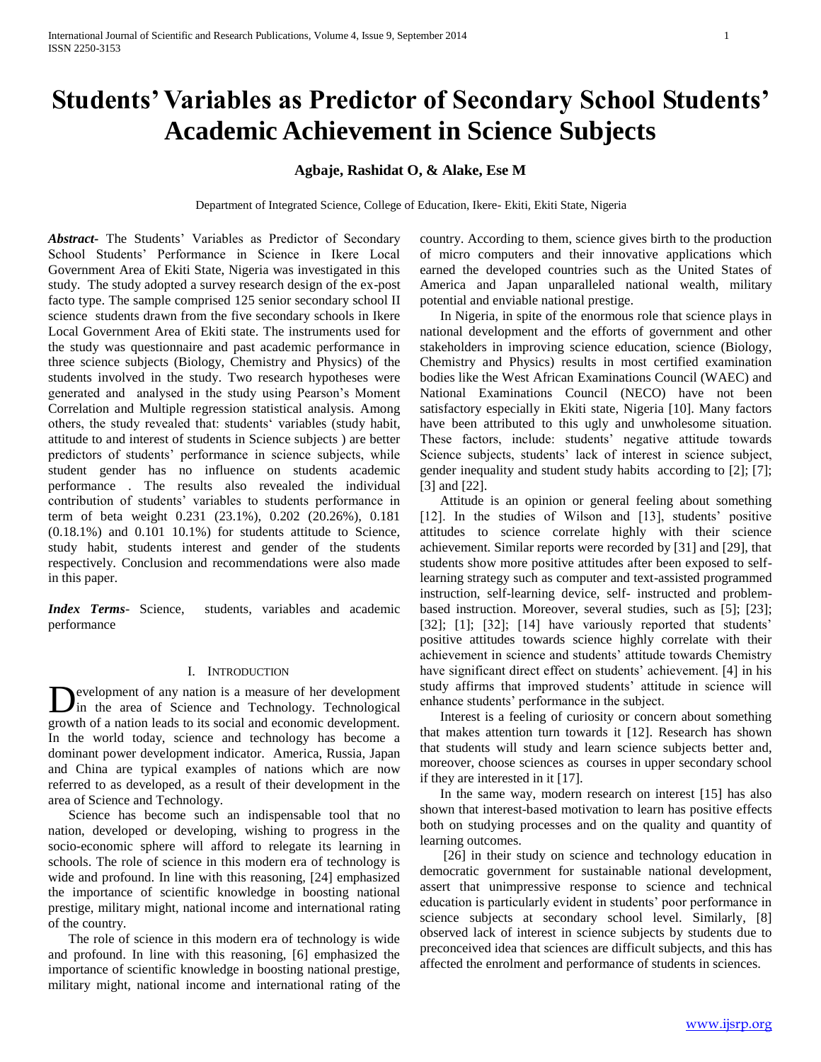# **Students' Variables as Predictor of Secondary School Students' Academic Achievement in Science Subjects**

# **Agbaje, Rashidat O, & Alake, Ese M**

Department of Integrated Science, College of Education, Ikere- Ekiti, Ekiti State, Nigeria

*Abstract***-** The Students' Variables as Predictor of Secondary School Students' Performance in Science in Ikere Local Government Area of Ekiti State, Nigeria was investigated in this study. The study adopted a survey research design of the ex-post facto type. The sample comprised 125 senior secondary school II science students drawn from the five secondary schools in Ikere Local Government Area of Ekiti state. The instruments used for the study was questionnaire and past academic performance in three science subjects (Biology, Chemistry and Physics) of the students involved in the study. Two research hypotheses were generated and analysed in the study using Pearson's Moment Correlation and Multiple regression statistical analysis. Among others, the study revealed that: students' variables (study habit, attitude to and interest of students in Science subjects ) are better predictors of students' performance in science subjects, while student gender has no influence on students academic performance . The results also revealed the individual contribution of students' variables to students performance in term of beta weight 0.231 (23.1%), 0.202 (20.26%), 0.181 (0.18.1%) and 0.101 10.1%) for students attitude to Science, study habit, students interest and gender of the students respectively. Conclusion and recommendations were also made in this paper.

*Index Terms*- Science, students, variables and academic performance

# I. INTRODUCTION

evelopment of any nation is a measure of her development Development of any nation is a measure of her development<br>in the area of Science and Technology. Technological growth of a nation leads to its social and economic development. In the world today, science and technology has become a dominant power development indicator. America, Russia, Japan and China are typical examples of nations which are now referred to as developed, as a result of their development in the area of Science and Technology.

 Science has become such an indispensable tool that no nation, developed or developing, wishing to progress in the socio-economic sphere will afford to relegate its learning in schools. The role of science in this modern era of technology is wide and profound. In line with this reasoning, [24] emphasized the importance of scientific knowledge in boosting national prestige, military might, national income and international rating of the country.

 The role of science in this modern era of technology is wide and profound. In line with this reasoning, [6] emphasized the importance of scientific knowledge in boosting national prestige, military might, national income and international rating of the country. According to them, science gives birth to the production of micro computers and their innovative applications which earned the developed countries such as the United States of America and Japan unparalleled national wealth, military potential and enviable national prestige.

 In Nigeria, in spite of the enormous role that science plays in national development and the efforts of government and other stakeholders in improving science education, science (Biology, Chemistry and Physics) results in most certified examination bodies like the West African Examinations Council (WAEC) and National Examinations Council (NECO) have not been satisfactory especially in Ekiti state, Nigeria [10]. Many factors have been attributed to this ugly and unwholesome situation. These factors, include: students' negative attitude towards Science subjects, students' lack of interest in science subject, gender inequality and student study habits according to [2]; [7]; [3] and [22].

 Attitude is an opinion or general feeling about something [12]. In the studies of Wilson and [13], students' positive attitudes to science correlate highly with their science achievement. Similar reports were recorded by [31] and [29], that students show more positive attitudes after been exposed to selflearning strategy such as computer and text-assisted programmed instruction, self-learning device, self- instructed and problembased instruction. Moreover, several studies, such as [5]; [23]; [32]; [1]; [32]; [14] have variously reported that students' positive attitudes towards science highly correlate with their achievement in science and students' attitude towards Chemistry have significant direct effect on students' achievement. [4] in his study affirms that improved students' attitude in science will enhance students' performance in the subject.

 Interest is a feeling of curiosity or concern about something that makes attention turn towards it [12]. Research has shown that students will study and learn science subjects better and, moreover, choose sciences as courses in upper secondary school if they are interested in it [17].

 In the same way, modern research on interest [15] has also shown that interest-based motivation to learn has positive effects both on studying processes and on the quality and quantity of learning outcomes.

 [26] in their study on science and technology education in democratic government for sustainable national development, assert that unimpressive response to science and technical education is particularly evident in students' poor performance in science subjects at secondary school level. Similarly, [8] observed lack of interest in science subjects by students due to preconceived idea that sciences are difficult subjects, and this has affected the enrolment and performance of students in sciences.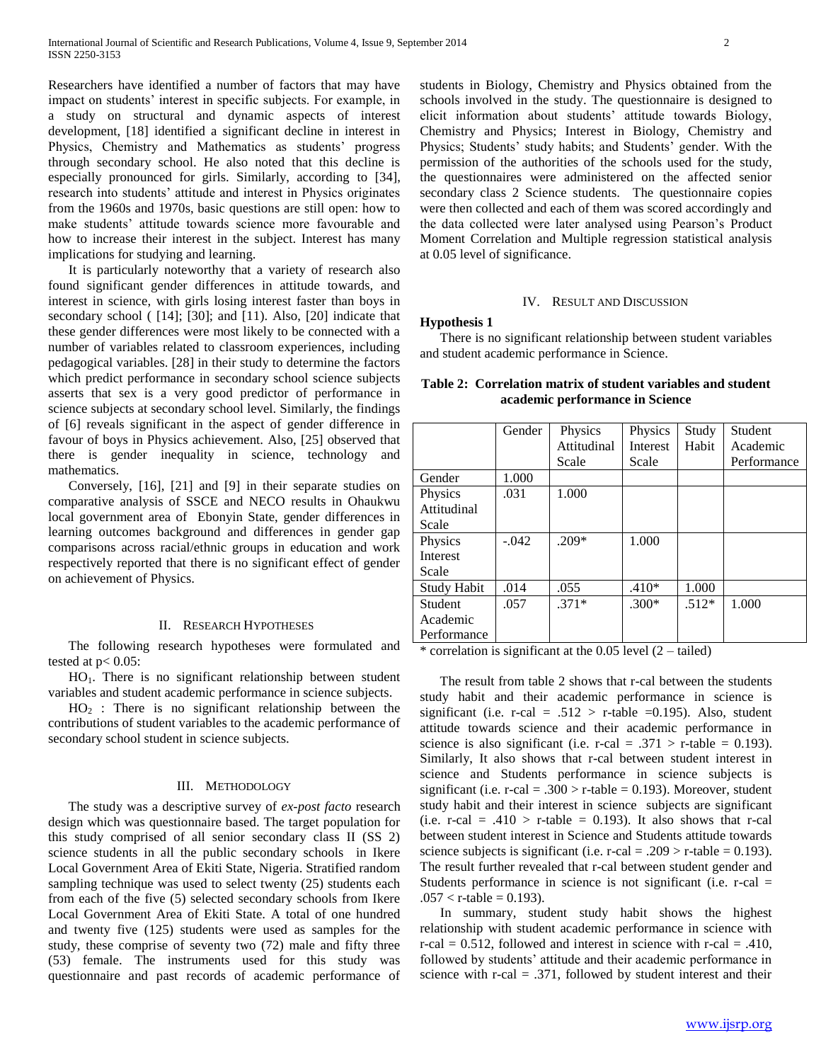Researchers have identified a number of factors that may have impact on students' interest in specific subjects. For example, in a study on structural and dynamic aspects of interest development, [18] identified a significant decline in interest in Physics, Chemistry and Mathematics as students' progress through secondary school. He also noted that this decline is especially pronounced for girls. Similarly, according to [34], research into students' attitude and interest in Physics originates from the 1960s and 1970s, basic questions are still open: how to make students' attitude towards science more favourable and how to increase their interest in the subject. Interest has many implications for studying and learning.

 It is particularly noteworthy that a variety of research also found significant gender differences in attitude towards, and interest in science, with girls losing interest faster than boys in secondary school ( [14]; [30]; and [11). Also, [20] indicate that these gender differences were most likely to be connected with a number of variables related to classroom experiences, including pedagogical variables. [28] in their study to determine the factors which predict performance in secondary school science subjects asserts that sex is a very good predictor of performance in science subjects at secondary school level. Similarly, the findings of [6] reveals significant in the aspect of gender difference in favour of boys in Physics achievement. Also, [25] observed that there is gender inequality in science, technology and mathematics.

 Conversely, [16], [21] and [9] in their separate studies on comparative analysis of SSCE and NECO results in Ohaukwu local government area of Ebonyin State, gender differences in learning outcomes background and differences in gender gap comparisons across racial/ethnic groups in education and work respectively reported that there is no significant effect of gender on achievement of Physics.

#### II. RESEARCH HYPOTHESES

 The following research hypotheses were formulated and tested at  $p < 0.05$ :

 HO1. There is no significant relationship between student variables and student academic performance in science subjects.

 $HO<sub>2</sub>$ : There is no significant relationship between the contributions of student variables to the academic performance of secondary school student in science subjects.

#### III. METHODOLOGY

 The study was a descriptive survey of *ex-post facto* research design which was questionnaire based. The target population for this study comprised of all senior secondary class II (SS 2) science students in all the public secondary schools in Ikere Local Government Area of Ekiti State, Nigeria. Stratified random sampling technique was used to select twenty (25) students each from each of the five (5) selected secondary schools from Ikere Local Government Area of Ekiti State. A total of one hundred and twenty five (125) students were used as samples for the study, these comprise of seventy two (72) male and fifty three (53) female. The instruments used for this study was questionnaire and past records of academic performance of

students in Biology, Chemistry and Physics obtained from the schools involved in the study. The questionnaire is designed to elicit information about students' attitude towards Biology, Chemistry and Physics; Interest in Biology, Chemistry and Physics; Students' study habits; and Students' gender. With the permission of the authorities of the schools used for the study, the questionnaires were administered on the affected senior secondary class 2 Science students. The questionnaire copies were then collected and each of them was scored accordingly and the data collected were later analysed using Pearson's Product Moment Correlation and Multiple regression statistical analysis at 0.05 level of significance.

#### IV. RESULT AND DISCUSSION

#### **Hypothesis 1**

 There is no significant relationship between student variables and student academic performance in Science.

|                    | Gender  | Physics     | Physics         | Study   | Student     |
|--------------------|---------|-------------|-----------------|---------|-------------|
|                    |         | Attitudinal | <b>Interest</b> | Habit   | Academic    |
|                    |         | Scale       | Scale           |         | Performance |
| Gender             | 1.000   |             |                 |         |             |
| Physics            | .031    | 1.000       |                 |         |             |
| Attitudinal        |         |             |                 |         |             |
| Scale              |         |             |                 |         |             |
| Physics            | $-.042$ | $.209*$     | 1.000           |         |             |
| Interest           |         |             |                 |         |             |
| Scale              |         |             |                 |         |             |
| <b>Study Habit</b> | .014    | .055        | $.410*$         | 1.000   |             |
| <b>Student</b>     | .057    | $.371*$     | $.300*$         | $.512*$ | 1.000       |
| Academic           |         |             |                 |         |             |
| Performance        |         |             |                 |         |             |

# **Table 2: Correlation matrix of student variables and student academic performance in Science**

\* correlation is significant at the  $0.05$  level  $(2 - \text{tailed})$ 

 The result from table 2 shows that r-cal between the students study habit and their academic performance in science is significant (i.e. r-cal = .512 > r-table =0.195). Also, student attitude towards science and their academic performance in science is also significant (i.e. r-cal = .371 > r-table = 0.193). Similarly, It also shows that r-cal between student interest in science and Students performance in science subjects is significant (i.e. r-cal = .300 > r-table = 0.193). Moreover, student study habit and their interest in science subjects are significant (i.e. r-cal = .410 > r-table = 0.193). It also shows that r-cal between student interest in Science and Students attitude towards science subjects is significant (i.e. r-cal = .209  $>$  r-table = 0.193). The result further revealed that r-cal between student gender and Students performance in science is not significant (i.e. r-cal =  $.057 < r$ -table = 0.193).

 In summary, student study habit shows the highest relationship with student academic performance in science with  $r$ -cal = 0.512, followed and interest in science with  $r$ -cal = .410, followed by students' attitude and their academic performance in science with  $r$ -cal = .371, followed by student interest and their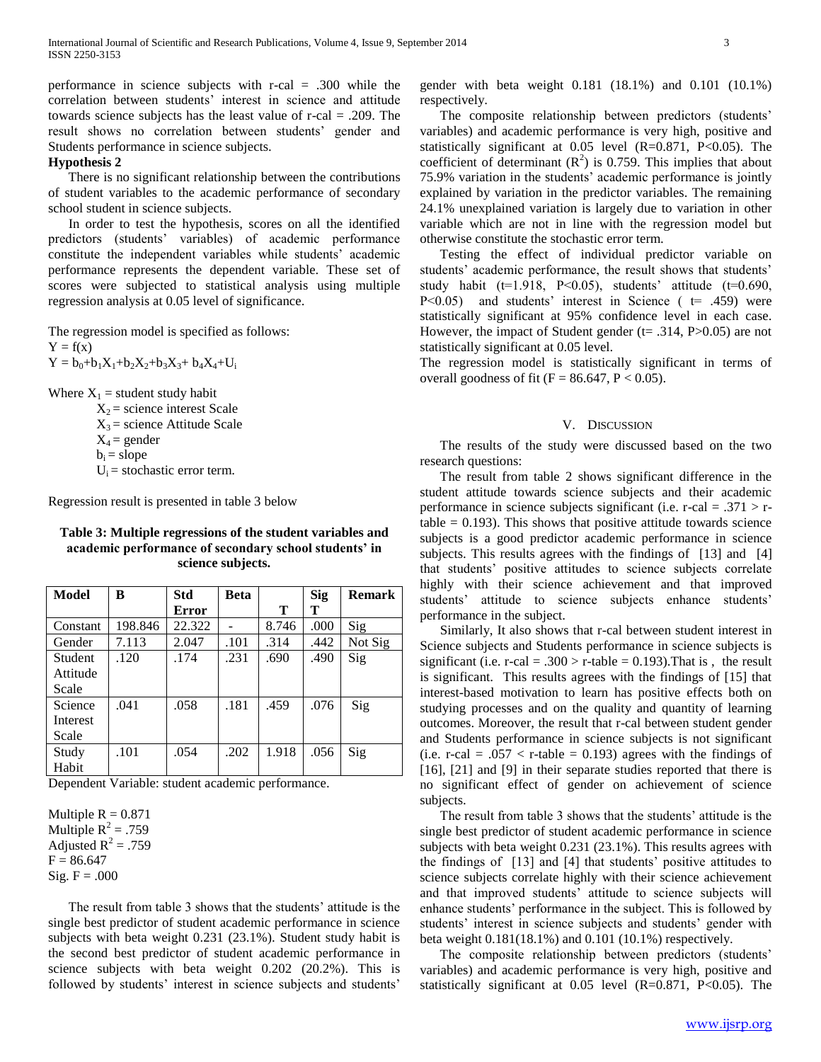performance in science subjects with r-cal = .300 while the correlation between students' interest in science and attitude towards science subjects has the least value of r-cal = .209. The result shows no correlation between students' gender and Students performance in science subjects.

### **Hypothesis 2**

 There is no significant relationship between the contributions of student variables to the academic performance of secondary school student in science subjects.

 In order to test the hypothesis, scores on all the identified predictors (students' variables) of academic performance constitute the independent variables while students' academic performance represents the dependent variable. These set of scores were subjected to statistical analysis using multiple regression analysis at 0.05 level of significance.

The regression model is specified as follows:

 $Y = f(x)$ 

 $Y = b_0 + b_1X_1 + b_2X_2 + b_3X_3 + b_4X_4 + U_i$ 

Where  $X_1$  = student study habit

 $X_2$  = science interest Scale  $X_3$  = science Attitude Scale  $X_4$  = gender  $b_i$  = slope  $U_i$  = stochastic error term.

Regression result is presented in table 3 below

# **Table 3: Multiple regressions of the student variables and academic performance of secondary school students' in science subjects.**

| Model    | B       | <b>Std</b> | <b>Beta</b> |       | <b>Sig</b> | <b>Remark</b> |
|----------|---------|------------|-------------|-------|------------|---------------|
|          |         | Error      |             | Т     | т          |               |
| Constant | 198.846 | 22.322     |             | 8.746 | .000       | Sig           |
| Gender   | 7.113   | 2.047      | .101        | .314  | .442       | Not Sig       |
| Student  | .120    | .174       | .231        | .690  | .490       | Sig           |
| Attitude |         |            |             |       |            |               |
| Scale    |         |            |             |       |            |               |
| Science  | .041    | .058       | .181        | .459  | .076       | Sig           |
| Interest |         |            |             |       |            |               |
| Scale    |         |            |             |       |            |               |
| Study    | .101    | .054       | .202        | 1.918 | .056       | Sig           |
| Habit    |         |            |             |       |            |               |

Dependent Variable: student academic performance.

Multiple  $R = 0.871$ Multiple  $R^2 = .759$ Adjusted  $R^2 = .759$  $F = 86.647$ Sig.  $F = .000$ 

 The result from table 3 shows that the students' attitude is the single best predictor of student academic performance in science subjects with beta weight 0.231 (23.1%). Student study habit is the second best predictor of student academic performance in science subjects with beta weight 0.202 (20.2%). This is followed by students' interest in science subjects and students'

gender with beta weight 0.181 (18.1%) and 0.101 (10.1%) respectively.

 The composite relationship between predictors (students' variables) and academic performance is very high, positive and statistically significant at 0.05 level (R=0.871, P<0.05). The coefficient of determinant  $(R^2)$  is 0.759. This implies that about 75.9% variation in the students' academic performance is jointly explained by variation in the predictor variables. The remaining 24.1% unexplained variation is largely due to variation in other variable which are not in line with the regression model but otherwise constitute the stochastic error term.

 Testing the effect of individual predictor variable on students' academic performance, the result shows that students' study habit ( $t=1.918$ ,  $P<0.05$ ), students' attitude ( $t=0.690$ ,  $P<0.05$ ) and students' interest in Science ( $t= .459$ ) were statistically significant at 95% confidence level in each case. However, the impact of Student gender ( $t = .314$ , P $> 0.05$ ) are not statistically significant at 0.05 level.

The regression model is statistically significant in terms of overall goodness of fit ( $F = 86.647$ ,  $P < 0.05$ ).

### V. DISCUSSION

 The results of the study were discussed based on the two research questions:

 The result from table 2 shows significant difference in the student attitude towards science subjects and their academic performance in science subjects significant (i.e.  $r$ -cal = .371 >  $r$ table  $= 0.193$ ). This shows that positive attitude towards science subjects is a good predictor academic performance in science subjects. This results agrees with the findings of [13] and [4] that students' positive attitudes to science subjects correlate highly with their science achievement and that improved students' attitude to science subjects enhance students' performance in the subject.

 Similarly, It also shows that r-cal between student interest in Science subjects and Students performance in science subjects is significant (i.e. r-cal = .300 > r-table = 0.193). That is, the result is significant. This results agrees with the findings of [15] that interest-based motivation to learn has positive effects both on studying processes and on the quality and quantity of learning outcomes. Moreover, the result that r-cal between student gender and Students performance in science subjects is not significant (i.e. r-cal =  $.057 <$  r-table = 0.193) agrees with the findings of [16], [21] and [9] in their separate studies reported that there is no significant effect of gender on achievement of science subjects.

 The result from table 3 shows that the students' attitude is the single best predictor of student academic performance in science subjects with beta weight 0.231 (23.1%). This results agrees with the findings of [13] and [4] that students' positive attitudes to science subjects correlate highly with their science achievement and that improved students' attitude to science subjects will enhance students' performance in the subject. This is followed by students' interest in science subjects and students' gender with beta weight 0.181(18.1%) and 0.101 (10.1%) respectively.

 The composite relationship between predictors (students' variables) and academic performance is very high, positive and statistically significant at 0.05 level (R=0.871, P<0.05). The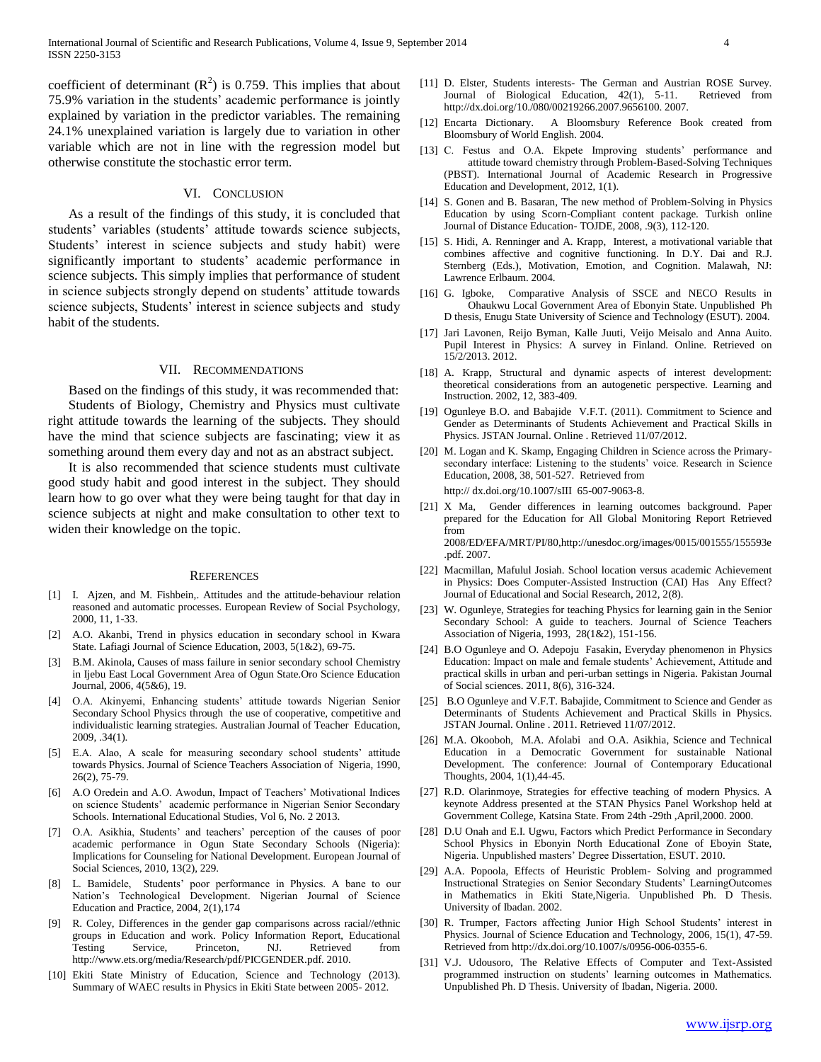coefficient of determinant  $(R^2)$  is 0.759. This implies that about 75.9% variation in the students' academic performance is jointly explained by variation in the predictor variables. The remaining 24.1% unexplained variation is largely due to variation in other variable which are not in line with the regression model but otherwise constitute the stochastic error term.

#### VI. CONCLUSION

 As a result of the findings of this study, it is concluded that students' variables (students' attitude towards science subjects, Students' interest in science subjects and study habit) were significantly important to students' academic performance in science subjects. This simply implies that performance of student in science subjects strongly depend on students' attitude towards science subjects, Students' interest in science subjects and study habit of the students.

## VII. RECOMMENDATIONS

 Based on the findings of this study, it was recommended that: Students of Biology, Chemistry and Physics must cultivate right attitude towards the learning of the subjects. They should have the mind that science subjects are fascinating; view it as something around them every day and not as an abstract subject.

 It is also recommended that science students must cultivate good study habit and good interest in the subject. They should learn how to go over what they were being taught for that day in science subjects at night and make consultation to other text to widen their knowledge on the topic.

#### **REFERENCES**

- [1] I. Ajzen, and M. Fishbein,. Attitudes and the attitude-behaviour relation reasoned and automatic processes. European Review of Social Psychology, 2000, 11, 1-33.
- [2] A.O. Akanbi, Trend in physics education in secondary school in Kwara State. Lafiagi Journal of Science Education, 2003, 5(1&2), 69-75.
- [3] B.M. Akinola, Causes of mass failure in senior secondary school Chemistry in Ijebu East Local Government Area of Ogun State.Oro Science Education Journal, 2006, 4(5&6), 19.
- [4] O.A. Akinyemi, Enhancing students' attitude towards Nigerian Senior Secondary School Physics through the use of cooperative, competitive and individualistic learning strategies. Australian Journal of Teacher Education, 2009, .34(1).
- [5] E.A. Alao, A scale for measuring secondary school students' attitude towards Physics. Journal of Science Teachers Association of Nigeria, 1990, 26(2), 75-79.
- [6] A.O Oredein and A.O. Awodun, Impact of Teachers' Motivational Indices on science Students' academic performance in Nigerian Senior Secondary Schools. International Educational Studies, Vol 6, No. 2 2013.
- [7] O.A. Asikhia, Students' and teachers' perception of the causes of poor academic performance in Ogun State Secondary Schools (Nigeria): Implications for Counseling for National Development. European Journal of Social Sciences, 2010, 13(2), 229.
- [8] L. Bamidele, Students' poor performance in Physics. A bane to our Nation's Technological Development. Nigerian Journal of Science Education and Practice, 2004, 2(1),174
- [9] R. Coley, Differences in the gender gap comparisons across racial//ethnic groups in Education and work. Policy Information Report, Educational Testing Service, Princeton, NJ. Retrieved from http://www.ets.org/media/Research/pdf/PICGENDER.pdf. 2010.
- [10] Ekiti State Ministry of Education, Science and Technology (2013). Summary of WAEC results in Physics in Ekiti State between 2005- 2012.
- [11] D. Elster, Students interests- The German and Austrian ROSE Survey. Journal of Biological Education, 42(1), 5-11. Retrieved from http://dx.doi.org/10./080/00219266.2007.9656100. 2007.
- [12] Encarta Dictionary. A Bloomsbury Reference Book created from Bloomsbury of World English. 2004.
- [13] C. Festus and O.A. Ekpete Improving students' performance and attitude toward chemistry through Problem-Based-Solving Techniques (PBST). International Journal of Academic Research in Progressive Education and Development, 2012, 1(1).
- [14] S. Gonen and B. Basaran, The new method of Problem-Solving in Physics Education by using Scorn-Compliant content package. Turkish online Journal of Distance Education- TOJDE, 2008, .9(3), 112-120.
- [15] S. Hidi, A. Renninger and A. Krapp, Interest, a motivational variable that combines affective and cognitive functioning. In D.Y. Dai and R.J. Sternberg (Eds.), Motivation, Emotion, and Cognition. Malawah, NJ: Lawrence Erlbaum. 2004.
- [16] G. Igboke, Comparative Analysis of SSCE and NECO Results in Ohaukwu Local Government Area of Ebonyin State. Unpublished Ph D thesis, Enugu State University of Science and Technology (ESUT). 2004.
- [17] Jari Lavonen, Reijo Byman, Kalle Juuti, Veijo Meisalo and Anna Auito. Pupil Interest in Physics: A survey in Finland. Online. Retrieved on 15/2/2013. 2012.
- [18] A. Krapp, Structural and dynamic aspects of interest development: theoretical considerations from an autogenetic perspective. Learning and Instruction. 2002, 12, 383-409.
- [19] Ogunleye B.O. and Babajide V.F.T. (2011). Commitment to Science and Gender as Determinants of Students Achievement and Practical Skills in Physics. JSTAN Journal. Online . Retrieved 11/07/2012.
- [20] M. Logan and K. Skamp, Engaging Children in Science across the Primarysecondary interface: Listening to the students' voice. Research in Science Education, 2008, 38, 501-527. Retrieved from

http:// dx.doi.org/10.1007/sIII 65-007-9063-8.

- [21] X Ma, Gender differences in learning outcomes background. Paper prepared for the Education for All Global Monitoring Report Retrieved from 2008/ED/EFA/MRT/PI/80,http://unesdoc.org/images/0015/001555/155593e .pdf. 2007.
- [22] Macmillan, Mafulul Josiah. School location versus academic Achievement in Physics: Does Computer-Assisted Instruction (CAI) Has Any Effect? Journal of Educational and Social Research, 2012, 2(8).
- [23] W. Ogunleye, Strategies for teaching Physics for learning gain in the Senior Secondary School: A guide to teachers. Journal of Science Teachers Association of Nigeria, 1993, 28(1&2), 151-156.
- [24] B.O Ogunleye and O. Adepoju Fasakin, Everyday phenomenon in Physics Education: Impact on male and female students' Achievement, Attitude and practical skills in urban and peri-urban settings in Nigeria. Pakistan Journal of Social sciences. 2011, 8(6), 316-324.
- [25] B.O Ogunleye and V.F.T. Babajide, Commitment to Science and Gender as Determinants of Students Achievement and Practical Skills in Physics. JSTAN Journal. Online . 2011. Retrieved 11/07/2012.
- [26] M.A. Okooboh, M.A. Afolabi and O.A. Asikhia, Science and Technical Education in a Democratic Government for sustainable National Development. The conference: Journal of Contemporary Educational Thoughts, 2004, 1(1),44-45.
- [27] R.D. Olarinmoye, Strategies for effective teaching of modern Physics. A keynote Address presented at the STAN Physics Panel Workshop held at Government College, Katsina State. From 24th -29th ,April,2000. 2000.
- [28] D.U Onah and E.I. Ugwu, Factors which Predict Performance in Secondary School Physics in Ebonyin North Educational Zone of Eboyin State, Nigeria. Unpublished masters' Degree Dissertation, ESUT. 2010.
- [29] A.A. Popoola, Effects of Heuristic Problem- Solving and programmed Instructional Strategies on Senior Secondary Students' LearningOutcomes in Mathematics in Ekiti State,Nigeria. Unpublished Ph. D Thesis. University of Ibadan. 2002.
- [30] R. Trumper, Factors affecting Junior High School Students' interest in Physics. Journal of Science Education and Technology, 2006, 15(1), 47-59. Retrieved from http://dx.doi.org/10.1007/s/0956-006-0355-6.
- [31] V.J. Udousoro, The Relative Effects of Computer and Text-Assisted programmed instruction on students' learning outcomes in Mathematics. Unpublished Ph. D Thesis. University of Ibadan, Nigeria. 2000.